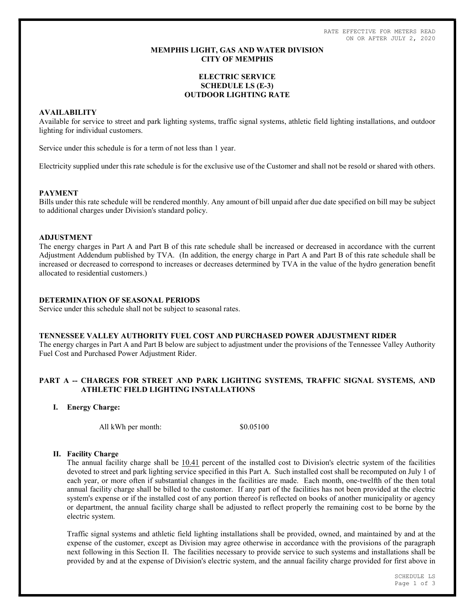RATE EFFECTIVE FOR METERS READ ON OR AFTER JULY 2, 2020

## MEMPHIS LIGHT, GAS AND WATER DIVISION CITY OF MEMPHIS

# ELECTRIC SERVICE SCHEDULE LS (E-3) OUTDOOR LIGHTING RATE

# AVAILABILITY

Available for service to street and park lighting systems, traffic signal systems, athletic field lighting installations, and outdoor lighting for individual customers.

Service under this schedule is for a term of not less than 1 year.

Electricity supplied under this rate schedule is for the exclusive use of the Customer and shall not be resold or shared with others.

### PAYMENT

Bills under this rate schedule will be rendered monthly. Any amount of bill unpaid after due date specified on bill may be subject to additional charges under Division's standard policy.

## ADJUSTMENT

The energy charges in Part A and Part B of this rate schedule shall be increased or decreased in accordance with the current Adjustment Addendum published by TVA. (In addition, the energy charge in Part A and Part B of this rate schedule shall be increased or decreased to correspond to increases or decreases determined by TVA in the value of the hydro generation benefit allocated to residential customers.)

# DETERMINATION OF SEASONAL PERIODS

Service under this schedule shall not be subject to seasonal rates.

#### TENNESSEE VALLEY AUTHORITY FUEL COST AND PURCHASED POWER ADJUSTMENT RIDER

The energy charges in Part A and Part B below are subject to adjustment under the provisions of the Tennessee Valley Authority Fuel Cost and Purchased Power Adjustment Rider.

# PART A -- CHARGES FOR STREET AND PARK LIGHTING SYSTEMS, TRAFFIC SIGNAL SYSTEMS, AND ATHLETIC FIELD LIGHTING INSTALLATIONS

I. Energy Charge:

All kWh per month:  $$0.05100$ 

# II. Facility Charge

The annual facility charge shall be 10.41 percent of the installed cost to Division's electric system of the facilities devoted to street and park lighting service specified in this Part A. Such installed cost shall be recomputed on July 1 of each year, or more often if substantial changes in the facilities are made. Each month, one-twelfth of the then total annual facility charge shall be billed to the customer. If any part of the facilities has not been provided at the electric system's expense or if the installed cost of any portion thereof is reflected on books of another municipality or agency or department, the annual facility charge shall be adjusted to reflect properly the remaining cost to be borne by the electric system.

Traffic signal systems and athletic field lighting installations shall be provided, owned, and maintained by and at the expense of the customer, except as Division may agree otherwise in accordance with the provisions of the paragraph next following in this Section II. The facilities necessary to provide service to such systems and installations shall be provided by and at the expense of Division's electric system, and the annual facility charge provided for first above in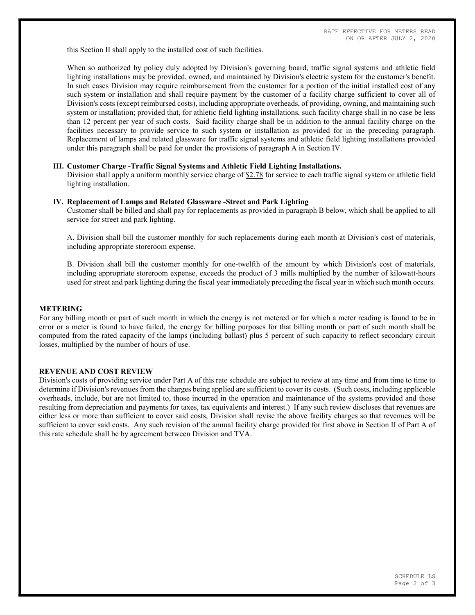this Section II shall apply to the installed cost of such facilities.

When so authorized by policy duly adopted by Division's governing board, traffic signal systems and athletic field lighting installations may be provided, owned, and maintained by Division's electric system for the customer's benefit. In such cases Division may require reimbursement from the customer for a portion of the initial installed cost of any such system or installation and shall require payment by the customer of a facility charge sufficient to cover all of Division's costs (except reimbursed costs), including appropriate overheads, of providing, owning, and maintaining such system or installation; provided that, for athletic field lighting installations, such facility charge shall in no case be less than 12 percent per year of such costs. Said facility charge shall be in addition to the annual facility charge on the facilities necessary to provide service to such system or installation as provided for in the preceding paragraph. Replacement of lamps and related glassware for traffic signal systems and athletic field lighting installations provided under this paragraph shall be paid for under the provisions of paragraph A in Section IV.

### III. Customer Charge -Traffic Signal Systems and Athletic Field Lighting Installations.

Division shall apply a uniform monthly service charge of \$2.78 for service to each traffic signal system or athletic field lighting installation.

#### IV. Replacement of Lamps and Related Glassware -Street and Park Lighting

Customer shall be billed and shall pay for replacements as provided in paragraph B below, which shall be applied to all service for street and park lighting.

A. Division shall bill the customer monthly for such replacements during each month at Division's cost of materials, including appropriate storeroom expense.

B. Division shall bill the customer monthly for one-twelfth of the amount by which Division's cost of materials, including appropriate storeroom expense, exceeds the product of 3 mills multiplied by the number of kilowatt-hours used for street and park lighting during the fiscal year immediately preceding the fiscal year in which such month occurs.

#### METERING

For any billing month or part of such month in which the energy is not metered or for which a meter reading is found to be in error or a meter is found to have failed, the energy for billing purposes for that billing month or part of such month shall be computed from the rated capacity of the lamps (including ballast) plus 5 percent of such capacity to reflect secondary circuit losses, multiplied by the number of hours of use.

### REVENUE AND COST REVIEW

Division's costs of providing service under Part A of this rate schedule are subject to review at any time and from time to time to determine if Division's revenues from the charges being applied are sufficient to cover its costs. (Such costs, including applicable overheads, include, but are not limited to, those incurred in the operation and maintenance of the systems provided and those resulting from depreciation and payments for taxes, tax equivalents and interest.) If any such review discloses that revenues are either less or more than sufficient to cover said costs, Division shall revise the above facility charges so that revenues will be sufficient to cover said costs. Any such revision of the annual facility charge provided for first above in Section II of Part A of this rate schedule shall be by agreement between Division and TVA.